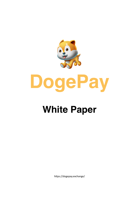

## **White Paper**

https://dogepay.exchange/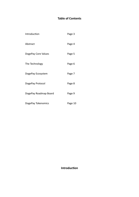## **Table of Contents**

| Introduction          | Page 3  |
|-----------------------|---------|
| Abstract              | Page 4  |
| DogePay Core Values   | Page 5  |
| The Technology        | Page 6  |
| DogePay Ecosystem     | Page 7  |
| DogePay Protocol      | Page 8  |
| DogePay Roadmap Board | Page 9  |
| DogePay Tokenomics    | Page 10 |

## **Introduction**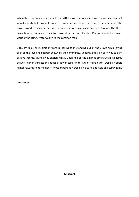When the Doge meme coin launched in 2013, most crypto lovers termed it a crazy idea that would quickly fade away. Proving everyone wrong, Dogecoin created flutters across the crypto world to become one of top four crypto coins based on market value. The Doge ecosystem is continuing to evolve. Now, it is the time for DogePay to disrupt the crypto world by bringing crypto wealth to the common man.

DogePay takes its inspiration from Father Doge in standing out of the crowd while giving back all the love and support shown by the community. DogePay offers an easy way to earn passive income, giving away endless USDT. Operating on the Binance Smart Chain, DogePay delivers higher transaction speeds at lower costs. With 37% of coins burnt, DogePay offers higher rewards to its members. Most importantly, DogePay is cute, adorable and captivating.

#### **Disclaimer**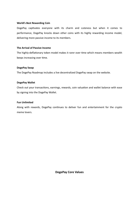#### **World's Best Rewarding Coin**

DogePay captivates everyone with its charm and cuteness but when it comes to performance, DogePay knocks down other coins with its highly rewarding income model, delivering more passive income to its members.

#### **The Arrival of Passive Income**

The highly-deflationary token model makes it rarer over time which means members wealth keeps increasing over time.

#### **DogePay Swap**

The DogePay Roadmap includes a live decentralized DogePay swap on the website.

#### **DogePay Wallet**

Check out your transactions, earnings, rewards, coin valuation and wallet balance with ease by signing into the DogePay Wallet.

#### **Fun Unlimited**

Along with rewards, DogePay continues to deliver fun and entertainment for the crypto meme lovers.

**DogePay Core Values**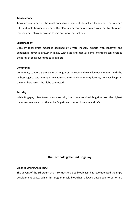#### **Transparency**

Transparency is one of the most appealing aspects of blockchain technology that offers a fully auditable transaction ledger. DogePay is a decentralized crypto coin that highly values transparency, allowing anyone to join and view transactions.

#### **Sustainability**

DogePay tokenomics model is designed by crypto industry experts with longevity and exponential revenue growth in mind. With auto and manual burns, members can leverage the rarity of coins over time to gain more.

#### **Community**

Community support is the biggest strength of DogePay and we value our members with the highest regard. With multiple Telegram channels and community forums, DogePay keeps all the members across the globe connected.

#### **Security**

While Dogepay offers transparency, security is not compromised. DogePay takes the highest measures to ensure that the entire DogePay ecosystem is secure and safe.

#### **The Technology behind DogePay**

#### **Binance Smart Chain (BSC)**

The advent of the Ethereum smart contract-enabled blockchain has revolutionized the dApp development space. While this programmable blockchain allowed developers to perform a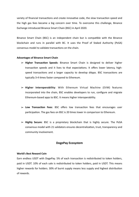variety of financial transactions and create innovative code, the slow transaction speed and the high gas fees became a big concern over time. To overcome this challenge, Binance Exchange introduced Binance Smart Chain (BSC) in April 2020.

Binance Smart Chain (BSC) is an independent chain but is compatible with the Binance blockchain and runs in parallel with BC. It uses the Proof of Staked Authority (PoSA) consensus model to validate transactions on the chain.

#### **Advantages of Binance Smart Chain**

- ➢ **Higher Transaction Speeds**: Binance Smart Chain is designed to deliver higher transaction speeds and it lives to that expectations. It offers lower latency, highspeed transactions and a larger capacity to develop dApps. BSC transactions are typically 3-4 times faster compared to Ethereum.
- ➢ **Higher Interoperability**: With Ethereum Virtual Machine (EVM) features incorporated into the chain, BSC enables developers to run, configure and migrate Ethereum-based apps to BSC. It means higher interoperability.
- ➢ **Low Transaction Fees**: BSC offers low transaction fees that encourages user participation. The gas fees on BSC is 20 times lower in comparison to Ethereum.
- ➢ **Highly Secure**: BSC is a proprietary blockchain that is highly secure. The PoSA consensus model with 21 validators ensures decentralization, trust, transparency and community involvement.

#### **DogePay Ecosystem**

#### **World's Best Reward Coin**

Earn endless USDT with DogePay. 5% of each transaction is redistributed to token holders, paid in USDT. 10% of each sale is redistributed to token holders, paid in USDT. This means higher rewards for holders. 30% of burnt supply means less supply and highest distribution of rewards.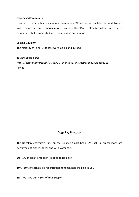#### **DogePay's Community**

DogePay's strength lies in its vibrant community. We are active on Telegram and Twitter. With meme fun and rewards mixed together, DogePay is already building up a large community that is connected, active, expressive and supportive.

#### **Locked Liquidity**

The majority of initial LP tokens were locked and burned.

To view LP Holders:

https://bscscan.com/token/0x75BA2D724B45b4e75457deDb58e4930f93c081Ee lances

### **DogePay Protocol**

The DogePay ecosystem runs on the Binance Smart Chain. As such, all transactions are performed at higher speeds and with lower costs.

**5%** - 5% of each transaction is added to Liquidity

**10%** - 10% of each sale is redistributed to token holders, paid in USDT

**5%** - We have burnt 30% of total supply.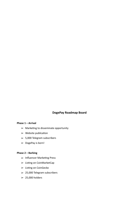## **DogePay Roadmap Board**

#### **Phase 1 – Arrival**

- ➢ Marketing to disseminate opportunity
- $\triangleright$  Website publication
- $> 5,000$  Telegram subscribers
- $\blacktriangleright$  DogePay is born!

#### **Phase 2 – Barking**

- ➢ Influencer Marketing Press
- ➢ Listing on CoinMarketCap
- ➢ Listing on CoinGecko
- $> 25,000$  Telegram subscribers
- $> 25,000$  holders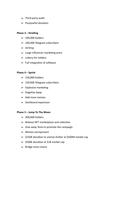- $\blacktriangleright$  Third-party audit
- $\blacktriangleright$  Purposeful donation

#### **Phase 3 – Strolling**

- $> 100,000$  holders
- $\geq 100,000$  Telegram subscribers
- ➢ AirDrop
- $\geq$  Large influencer marketing press
- $\blacktriangleright$  Lottery for holders
- $\blacktriangleright$  Full integration of software

#### **Phase 4 – Sprint**

- $> 150,000$  holders
- $> 150,000$  Telegram subscribers
- $\triangleright$  Explosion marketing
- $\blacktriangleright$  DogePay Swap
- $\geq$  Add more memes
- $\triangleright$  Dashboard expansion

#### **Phase 5 – Jump To The Moon**

- $> 300,000$  holders
- $\blacktriangleright$  Release NFT marketplace and collection
- $\geq$  Give away Tesla to promote the campaign
- ➢ Memes omnipresent
- ➢ \$250K donation to animal shelter at \$500M market cap
- $>$ \$500K donation at \$1B market cap
- $\triangleright$  Bridge more chains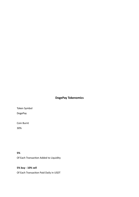## **DogePay Tokenomics**

Token Symbol DogePay

Coin Burnt

30%

**5%** Of Each Transaction Added to Liquidity

**5% buy - 10% sell** Of Each Transaction Paid Daily in USDT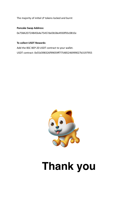The majority of initial LP tokens locked and burnt

#### **Pancake Swap Address:**

0x75BA2D724B45b4e75457deDb58e4930f93c081Ee

#### **To collect USDT Rewards:**

Add the BSC BEP-20 USDT contract to your wallet. USDT contract: 0x55d398326f99059ff775485246999027b3197955



# **Thank you**